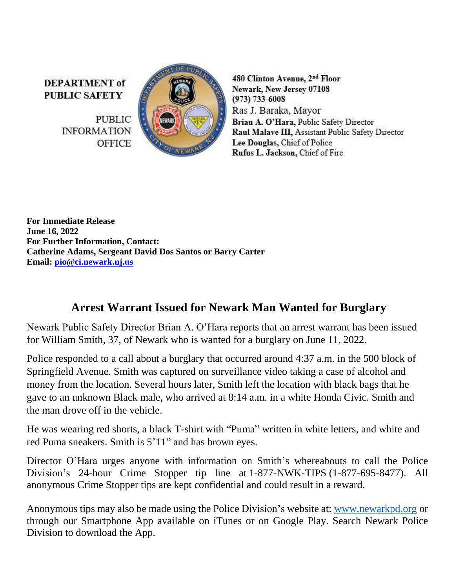**DEPARTMENT** of **PUBLIC SAFETY** 

> **PUBLIC INFORMATION OFFICE**



480 Clinton Avenue, 2nd Floor Newark, New Jersey 07108  $(973) 733 - 6008$ Ras J. Baraka, Mayor Brian A. O'Hara, Public Safety Director Raul Malave III, Assistant Public Safety Director Lee Douglas, Chief of Police Rufus L. Jackson, Chief of Fire

**For Immediate Release June 16, 2022 For Further Information, Contact: Catherine Adams, Sergeant David Dos Santos or Barry Carter Email: [pio@ci.newark.nj.us](mailto:pio@ci.newark.nj.us)**

## **Arrest Warrant Issued for Newark Man Wanted for Burglary**

Newark Public Safety Director Brian A. O'Hara reports that an arrest warrant has been issued for William Smith, 37, of Newark who is wanted for a burglary on June 11, 2022.

Police responded to a call about a burglary that occurred around 4:37 a.m. in the 500 block of Springfield Avenue. Smith was captured on surveillance video taking a case of alcohol and money from the location. Several hours later, Smith left the location with black bags that he gave to an unknown Black male, who arrived at 8:14 a.m. in a white Honda Civic. Smith and the man drove off in the vehicle.

He was wearing red shorts, a black T-shirt with "Puma" written in white letters, and white and red Puma sneakers. Smith is 5'11" and has brown eyes.

Director O'Hara urges anyone with information on Smith's whereabouts to call the Police Division's 24-hour Crime Stopper tip line at 1-877-NWK-TIPS (1-877-695-8477). All anonymous Crime Stopper tips are kept confidential and could result in a reward.

Anonymous tips may also be made using the Police Division's website at: [www.newarkpd.org](https://nam11.safelinks.protection.outlook.com/?url=http%3A%2F%2Fwww.newarkpd.org%2F&data=04%7C01%7Ccarterba%40ci.newark.nj.us%7C92a82169bcc34f83ddaf08d9c4a7e14f%7C24883a20af7b4ead9b4c900a20da8933%7C0%7C0%7C637757047590426713%7CUnknown%7CTWFpbGZsb3d8eyJWIjoiMC4wLjAwMDAiLCJQIjoiV2luMzIiLCJBTiI6Ik1haWwiLCJXVCI6Mn0%3D%7C3000&sdata=jra6I1QGnzC3%2B2Pn2AXVyJZGuCjfTChzSjpqOMvnEAs%3D&reserved=0) or through our Smartphone App available on iTunes or on Google Play. Search Newark Police Division to download the App.